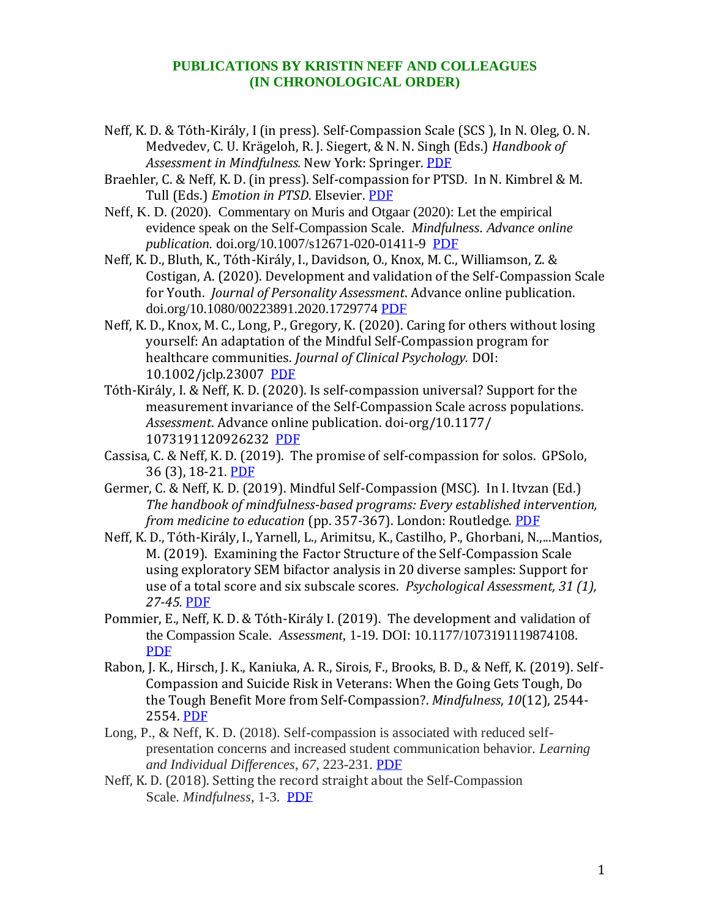## **PUBLICATIONS BY KRISTIN NEFF AND COLLEAGUES (IN CHRONOLOGICAL ORDER)**

- Neff, K. D. & Tóth-Király, I (in press). Self-Compassion Scale (SCS ), In N. Oleg, O. N. Medvedev, C. U. Krägeloh, R. J. Siegert, & N. N. Singh (Eds.) *Handbook of Assessment in Mindfulness.* New York: Springer. [PDF](https://self-compassion.org/wp-content/uploads/2020/02/Chapter-36-Neff-et-al-self-compassion-in-press.pdf)
- Braehler, C. & Neff, K. D. (in press). Self-compassion for PTSD. In N. Kimbrel & M. Tull (Eds.) *Emotion in PTSD*. Elsevier. [PDF](https://self-compassion.org/wp-content/uploads/2019/09/Braehler.inpress.pdf)
- Neff, K. D. (2020). Commentary on Muris and Otgaar (2020): Let the empirical evidence speak on the Self-Compassion Scale. *Mindfulness. Advance online publication.* doi.org/10.1007/s12671-020-01411-9 [PDF](https://self-compassion.org/wp-content/uploads/2020/05/Neff2020b.pdf)
- Neff, K. D., Bluth, K., Tóth-Király, I., Davidson, O., Knox, M. C., Williamson, Z. & Costigan, A. (2020). Development and validation of the Self-Compassion Scale for Youth. *Journal of Personality Assessment*. Advance online publication. doi.org/10.1080/00223891.2020.1729774 [PDF](https://self-compassion.org/wp-content/uploads/2020/03/Neff2020.pdf)
- Neff, K. D., Knox, M. C., Long, P., Gregory, K. (2020). Caring for others without losing yourself: An adaptation of the Mindful Self-Compassion program for healthcare communities. *Journal of Clinical Psychology.* DOI: 10.1002/jclp.23007 [PDF](https://self-compassion.org/wp-content/uploads/2020/07/Neff.Knox_.2020.pdf)
- Tóth-Király, I. & Neff, K. D. (2020). Is self-compassion universal? Support for the measurement invariance of the Self-Compassion Scale across populations. *Assessment*. Advance online publication. doi-org/10.1177/ 1073191120926232 [PDF](https://self-compassion.org/wp-content/uploads/2020/06/Toth-Kiraly2020.pdf)
- Cassisa, C. & Neff, K. D. (2019). The promise of self-compassion for solos. GPSolo, 36 (3), 18-21. [PDF](https://self-compassion.org/wp-content/uploads/2019/09/cassisa2019.pdf)
- Germer, C. & Neff, K. D. (2019). Mindful Self-Compassion (MSC). In I. Itvzan (Ed.) *The handbook of mindfulness-based programs: Every established intervention, from medicine to education* (pp. 357-367). London: Routledge. [PDF](https://self-compassion.org/wp-content/uploads/2019/09/Germer2019.pdf)
- Neff, K. D., Tóth-Király, I., Yarnell, L., Arimitsu, K., Castilho, P., Ghorbani, N.,...Mantios, M. (2019). Examining the Factor Structure of the Self-Compassion Scale using exploratory SEM bifactor analysis in 20 diverse samples: Support for use of a total score and six subscale scores. *Psychological Assessment, 31 (1), 27-45.* [PDF](https://self-compassion.org/wp-content/uploads/2019/09/Neff2019.pdf)
- Pommier, E., Neff, K. D. & Tóth-Király I. (2019). The development and validation of the Compassion Scale. *Assessment,* 1-19. DOI: 10.1177/1073191119874108. [PDF](https://self-compassion.org/wp-content/uploads/2019/09/Pommier2019.pdf)
- Rabon, J. K., Hirsch, J. K., Kaniuka, A. R., Sirois, F., Brooks, B. D., & Neff, K. (2019). Self-Compassion and Suicide Risk in Veterans: When the Going Gets Tough, Do the Tough Benefit More from Self-Compassion?. *Mindfulness*, *10*(12), 2544- 2554. [PDF](https://self-compassion.org/wp-content/uploads/2019/09/Rabon.2019.pdf)
- Long, P., & Neff, K. D. (2018). Self-compassion is associated with reduced selfpresentation concerns and increased student communication behavior. *Learning and Individual Differences*, *67*, 223-231. [PDF](https://self-compassion.org/wp-content/uploads/2018/10/Long.Neff_.2018.pdf)
- Neff, K. D. (2018). Setting the record straight about the Self-Compassion Scale. *Mindfulness*, 1-3. [PDF](https://self-compassion.org/wp-content/uploads/2018/12/Neff2018_Letter.pdf)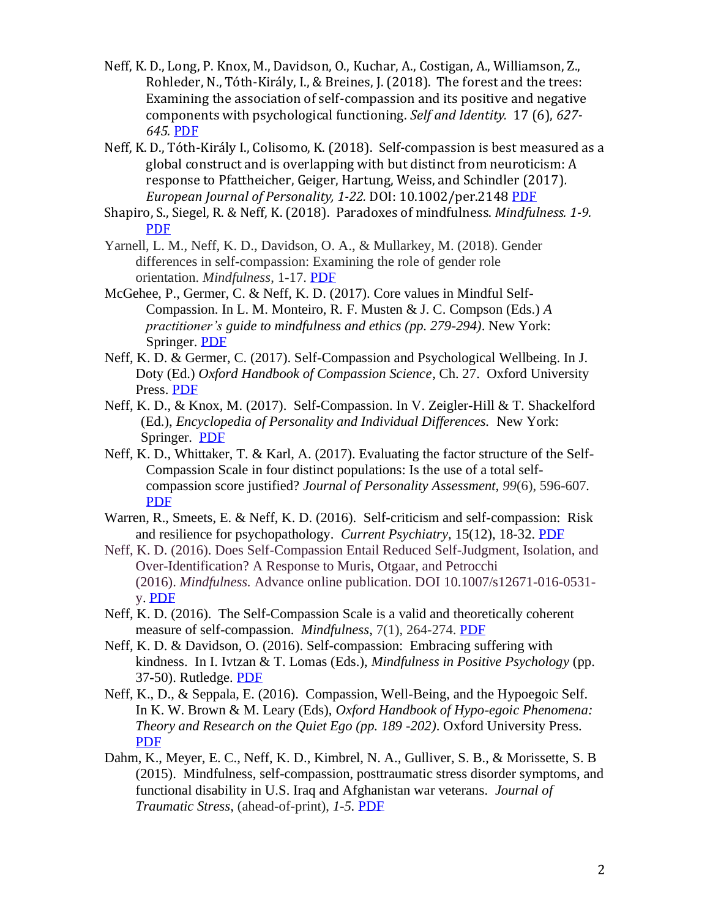- Neff, K. D., Long, P. Knox, M., Davidson, O., Kuchar, A., Costigan, A., Williamson, Z., Rohleder, N., Tóth-Király, I., & Breines, J. (2018). The forest and the trees: Examining the association of self-compassion and its positive and negative components with psychological functioning. *Self and Identity.* 17 (6), *627- 645.* [PDF](https://self-compassion.org/wp-content/uploads/2018/10/NeffLongetal2018.pdf)
- Neff, K. D., Tóth-Király I., Colisomo, K. (2018). Self-compassion is best measured as a global construct and is overlapping with but distinct from neuroticism: A response to Pfattheicher, Geiger, Hartung, Weiss, and Schindler (2017)*. European Journal of Personality, 1-22.* DOI: 10.1002/per.2148 [PDF](https://self-compassion.org/wp-content/uploads/2018/10/neff2018ejp.pdf)
- Shapiro, S., Siegel, R. & Neff, K. (2018). Paradoxes of mindfulness. *Mindfulness. 1-9.*  [PDF](https://self-compassion.org/wp-content/uploads/2019/06/Shapiro2018.pdf)
- Yarnell, L. M., Neff, K. D., Davidson, O. A., & Mullarkey, M. (2018). Gender differences in self-compassion: Examining the role of gender role orientation. *Mindfulness*, 1-17. [PDF](https://self-compassion.org/wp-content/uploads/2018/12/Yarnell2018.pdf)
- McGehee, P., Germer, C. & Neff, K. D. (2017). Core values in Mindful Self-Compassion. In L. M. Monteiro, R. F. Musten & J. C. Compson (Eds.) *A practitioner's guide to mindfulness and ethics (pp. 279-294)*. New York: Springer. [PDF](https://self-compassion.org/wp-content/uploads/2019/09/McGehee2017.pdf)
- Neff, K. D. & Germer, C. (2017). Self-Compassion and Psychological Wellbeing. In J. Doty (Ed.) *Oxford Handbook of Compassion Science,* Ch. 27. Oxford University Press. [PDF](http://self-compassion.org/wp-content/uploads/2017/09/Neff.Germer.2017.pdf)
- Neff, K. D., & Knox, M. (2017). Self-Compassion. In V. Zeigler-Hill & T. Shackelford (Ed.), *Encyclopedia of Personality and Individual Differences.* New York: Springer. [PDF](http://self-compassion.org/wp-content/uploads/2017/09/Neff.Knox2017.pdf)
- Neff, K. D., Whittaker, T. & Karl, A. (2017). Evaluating the factor structure of the Self-Compassion Scale in four distinct populations: Is the use of a total selfcompassion score justified? *Journal of Personality Assessment, 99*(6), 596-607*[.](https://self-compassion.org/wp-content/uploads/2018/10/Neff.Whittaker.Karl2016.pdf)* [PDF](https://self-compassion.org/wp-content/uploads/2018/10/Neff.Whittaker.Karl2016.pdf)
- Warren, R., Smeets, E. & Neff, K. D. (2016). Self-criticism and self-compassion: Risk and resilience for psychopathology. *Current Psychiatry,* 15(12), 18-32. [PDF](http://self-compassion.org/wp-content/uploads/2016/12/Self-Criticism.pdf)
- Neff, K. D. (2016). Does Self-Compassion Entail Reduced Self-Judgment, Isolation, and Over-Identification? A Response to Muris, Otgaar, and Petrocchi (2016). *Mindfulness.* Advance online publication. DOI 10.1007/s12671-016-0531 y. [PDF](http://self-compassion.org/wp-content/uploads/2016/04/Neff2016b-1.pdf)
- Neff, K. D. (2016). The Self-Compassion Scale is a valid and theoretically coherent measure of self-compassion. *Mindfulness*, 7(1), 264-274. [PDF](http://self-compassion.org/wp-content/uploads/2015/12/ScaleMindfulness.pdf)
- Neff, K. D. & Davidson, O. (2016). Self-compassion: Embracing suffering with kindness. In I. Ivtzan & T. Lomas (Eds.), *Mindfulness in Positive Psychology* (pp. 37-50). Rutledge. [PDF](http://self-compassion.org/wp-content/uploads/2016/07/Neff-and-Davidson.2016.pdf)
- Neff, K., D., & Seppala, E. (2016). Compassion, Well-Being, and the Hypoegoic Self. In K. W. Brown & M. Leary (Eds), *Oxford Handbook of Hypo-egoic Phenomena: Theory and Research on the Quiet Ego (pp. 189 -202)*. Oxford University Press. [PDF](http://self-compassion.org/wp-content/uploads/2017/01/Neff-Seppala-chap-compassion-in-press.pdf)
- Dahm, K., Meyer, E. C., Neff, K. D., Kimbrel, N. A., Gulliver, S. B., & Morissette, S. B (2015). Mindfulness, self-compassion, posttraumatic stress disorder symptoms, and functional disability in U.S. Iraq and Afghanistan war veterans. *Journal of Traumatic Stress,* (ahead-of-print), *1-5.* [PDF](http://self-compassion.org/wp-content/uploads/2015/12/Dahm_et_al.pdf)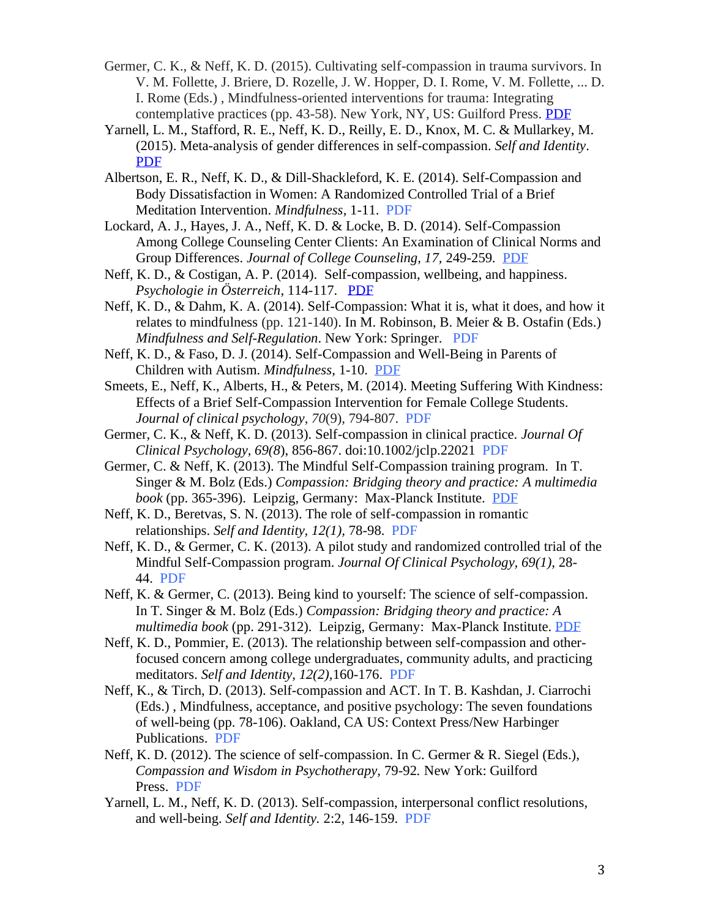- Germer, C. K., & Neff, K. D. (2015). Cultivating self-compassion in trauma survivors. In V. M. Follette, J. Briere, D. Rozelle, J. W. Hopper, D. I. Rome, V. M. Follette, ... D. I. Rome (Eds.) , Mindfulness-oriented interventions for trauma: Integrating contemplative practices (pp. 43-58). New York, NY, US: Guilford Press. [PDF](http://self-compassion.org/wp-content/uploads/2015/08/Germer.Neff_.Trauma.pdf)
- Yarnell, L. M., Stafford, R. E., Neff, K. D., Reilly, E. D., Knox, M. C. & Mullarkey, M. (2015). Meta-analysis of gender differences in self-compassion. *Self and Identity*. [PDF](http://self-compassion.org/wp-content/uploads/2015/05/Yarnell.Gender.Self-compassion.pdf)
- Albertson, E. R., Neff, K. D., & Dill-Shackleford, K. E. (2014). Self-Compassion and Body Dissatisfaction in Women: A Randomized Controlled Trial of a Brief Meditation Intervention. *Mindfulness*, 1-11. [PDF](http://self-compassion.org/wp-content/uploads/publications/AlbertsonBodyImage.pdf)
- Lockard, A. J., Hayes, J. A., Neff, K. D. & Locke, B. D. (2014). Self-Compassion Among College Counseling Center Clients: An Examination of Clinical Norms and Group Differences. *Journal of College Counseling, 17,* 249-259*.* [PDF](http://www.self-compassion.org/wp-content/uploads/2015/03/Lockard.Neff_.pdf)
- Neff, K. D., & Costigan, A. P. (2014). Self-compassion, wellbeing, and happiness. *Psychologie in Österreich*, 114-117. [PDF](http://self-compassion.org/wp-content/uploads/publications/Neff&Costigan.pdf)
- Neff, K. D., & Dahm, K. A. (2014). Self-Compassion: What it is, what it does, and how it relates to mindfulness (pp. 121-140). In M. Robinson, B. Meier & B. Ostafin (Eds.) *Mindfulness and Self-Regulation*. New York: Springer. [PDF](http://self-compassion.org/wp-content/uploads/publications/Mindfulness_and_SC_chapter_in_press.pdf)
- Neff, K. D., & Faso, D. J. (2014). Self-Compassion and Well-Being in Parents of Children with Autism. *Mindfulness*, 1-10. [PDF](http://www.self-compassion.org/wp-content/uploads/2015/03/Neff.Faso_.pdf)
- Smeets, E., Neff, K., Alberts, H., & Peters, M. (2014). Meeting Suffering With Kindness: Effects of a Brief Self-Compassion Intervention for Female College Students. *Journal of clinical psychology*, *70*(9), 794-807. [PDF](http://self-compassion.org/wp-content/uploads/publications/Smeets3week.pdf)
- Germer, C. K., & Neff, K. D. (2013). Self-compassion in clinical practice. *Journal Of Clinical Psychology, 69(8*), 856-867. doi:10.1002/jclp.22021 [PDF](http://self-compassion.org/wp-content/uploads/publications/germer.neff.pdf)
- Germer, C. & Neff, K. (2013). The Mindful Self-Compassion training program. In T. Singer & M. Bolz (Eds.) *Compassion: Bridging theory and practice: A multimedia book* (pp. 365-396). Leipzig, Germany: Max-Planck Institute. [PDF](http://www.compassion-training.org/?lang=en&page=home)
- Neff, K. D., Beretvas, S. N. (2013). The role of self-compassion in romantic relationships. *Self and Identity, 12(1),* 78-98. [PDF](http://self-compassion.org/wp-content/uploads/publications/Neff.Beretvas.pdf)
- Neff, K. D., & Germer, C. K. (2013). A pilot study and randomized controlled trial of the Mindful Self-Compassion program. *Journal Of Clinical Psychology, 69(1)*, 28- 44. [PDF](http://self-compassion.org/wp-content/uploads/publications/Neff-Germer-MSC-RCT-2012.pdf)
- Neff, K. & Germer, C. (2013). Being kind to yourself: The science of self-compassion. In T. Singer & M. Bolz (Eds.) *Compassion: Bridging theory and practice: A multimedia book* (pp. 291-312). Leipzig, Germany: Max-Planck Institute. [PDF](http://www.compassion-training.org/?lang=en&page=home)
- Neff, K. D., Pommier, E. (2013). The relationship between self-compassion and otherfocused concern among college undergraduates, community adults, and practicing meditators. *Self and Identity, 12(2),*160-176. [PDF](http://self-compassion.org/wp-content/uploads/publications/Neff.Pommier.pdf)
- Neff, K., & Tirch, D. (2013). Self-compassion and ACT. In T. B. Kashdan, J. Ciarrochi (Eds.) , Mindfulness, acceptance, and positive psychology: The seven foundations of well-being (pp. 78-106). Oakland, CA US: Context Press/New Harbinger Publications. [PDF](http://self-compassion.org/wp-content/uploads/publications/Chap4_Mindfulness-Acceptance-and-Positive-Psychology_11.06.pdf)
- Neff, K. D. (2012). The science of self-compassion. In C. Germer & R. Siegel (Eds.), *Compassion and Wisdom in Psychotherapy,* 79-92*.* New York: Guilford Press. [PDF](http://self-compassion.org/wp-content/uploads/publications/SC-Germer-Chapter.pdf)
- Yarnell, L. M., Neff, K. D. (2013). Self-compassion, interpersonal conflict resolutions, and well-being. *Self and Identity.* 2:2, 146-159. [PDF](http://self-compassion.org/wp-content/uploads/publications/Yarnell.Neff.pdf)